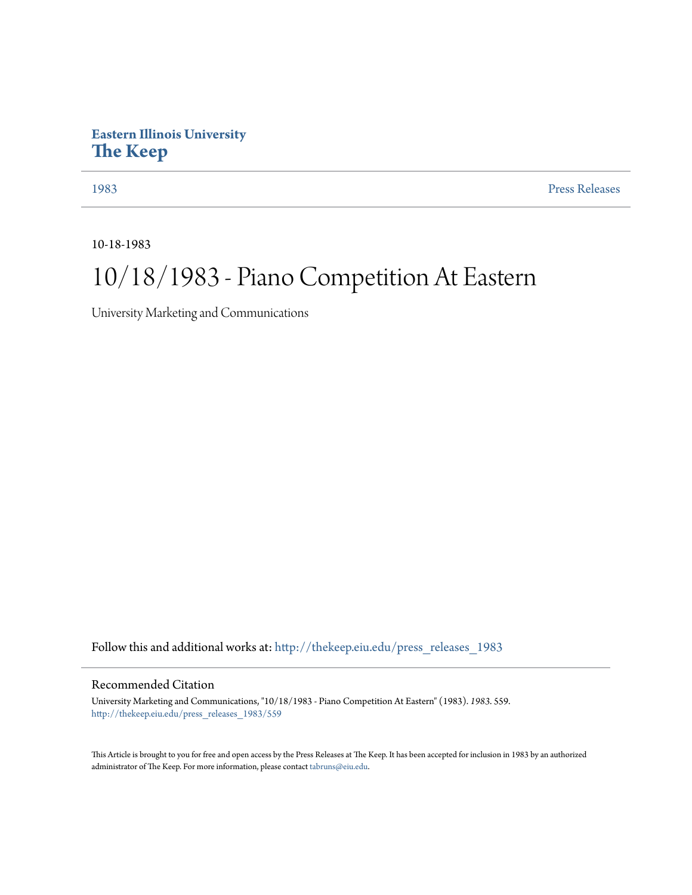## **Eastern Illinois University [The Keep](http://thekeep.eiu.edu?utm_source=thekeep.eiu.edu%2Fpress_releases_1983%2F559&utm_medium=PDF&utm_campaign=PDFCoverPages)**

[1983](http://thekeep.eiu.edu/press_releases_1983?utm_source=thekeep.eiu.edu%2Fpress_releases_1983%2F559&utm_medium=PDF&utm_campaign=PDFCoverPages) [Press Releases](http://thekeep.eiu.edu/press_releases_collection?utm_source=thekeep.eiu.edu%2Fpress_releases_1983%2F559&utm_medium=PDF&utm_campaign=PDFCoverPages)

10-18-1983

## 10/18/1983 - Piano Competition At Eastern

University Marketing and Communications

Follow this and additional works at: [http://thekeep.eiu.edu/press\\_releases\\_1983](http://thekeep.eiu.edu/press_releases_1983?utm_source=thekeep.eiu.edu%2Fpress_releases_1983%2F559&utm_medium=PDF&utm_campaign=PDFCoverPages)

## Recommended Citation

University Marketing and Communications, "10/18/1983 - Piano Competition At Eastern" (1983). *1983*. 559. [http://thekeep.eiu.edu/press\\_releases\\_1983/559](http://thekeep.eiu.edu/press_releases_1983/559?utm_source=thekeep.eiu.edu%2Fpress_releases_1983%2F559&utm_medium=PDF&utm_campaign=PDFCoverPages)

This Article is brought to you for free and open access by the Press Releases at The Keep. It has been accepted for inclusion in 1983 by an authorized administrator of The Keep. For more information, please contact [tabruns@eiu.edu.](mailto:tabruns@eiu.edu)